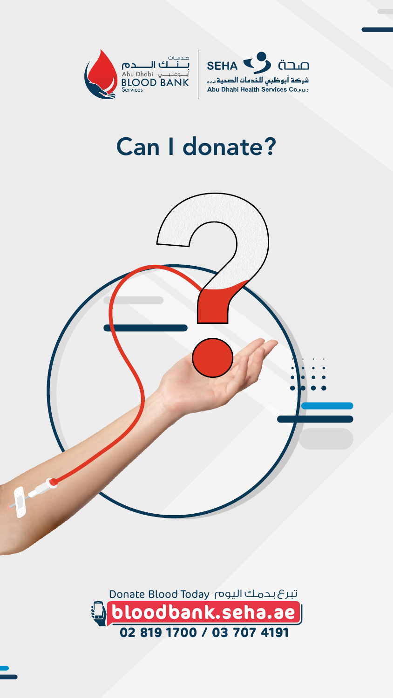







# Can I donate?

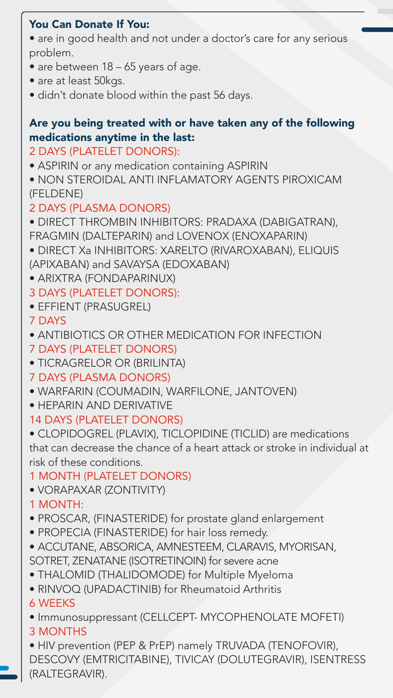#### You Can Donate If You:

- are in good health and not under a doctor's care for any serious problem.
- are between 18 65 years of age.
- are at least 50kgs.
- didn't donate blood within the past 56 days.

# Are you being treated with or have taken any of the following medications anytime in the last:

- 2 DAYS (PLATELET DONORS):
- ASPIRIN or any medication containing ASPIRIN
- NON STEROIDAL ANTI INFLAMATORY AGENTS PIROXICAM (FELDENE)

# 2 DAYS (PLASMA DONORS)

- DIRECT THROMBIN INHIBITORS: PRADAXA (DABIGATRAN), FRAGMIN (DALTEPARIN) and LOVENOX (ENOXAPARIN)
- DIRECT Xa INHIBITORS: XARELTO (RIVAROXABAN), ELIQUIS (APIXABAN) and SAVAYSA (EDOXABAN)
- ARIXTRA (FONDAPARINUX)
- 3 DAYS (PLATELET DONORS):
- EFFIENT (PRASUGREL)
- 7 DAYS
- ANTIBIOTICS OR OTHER MEDICATION FOR INFECTION 7 DAYS (PLATELET DONORS)
- TICRAGRELOR OR (BRILINTA)
- 7 DAYS (PLASMA DONORS)
- WARFARIN (COUMADIN, WARFILONE, JANTOVEN)
- HEPARIN AND DERIVATIVE 14 DAYS (PLATELET DONORS)
- CLOPIDOGREL (PLAVIX), TICLOPIDINE (TICLID) are medications that can decrease the chance of a heart attack or stroke in individual at risk of these conditions.
- 1 MONTH (PLATELET DONORS)
- VORAPAXAR (ZONTIVITY)
- 1 MONTH:
- PROSCAR, (FINASTERIDE) for prostate gland enlargement
- PROPECIA (FINASTERIDE) for hair loss remedy.
- ACCUTANE, ABSORICA, AMNESTEEM, CLARAVIS, MYORISAN, SOTRET, ZENATANE (ISOTRETINOIN) for severe acne
- THALOMID (THALIDOMODE) for Multiple Myeloma
- RINVOQ (UPADACTINIB) for Rheumatoid Arthritis
- 6 WEEKS
- Immunosuppressant (CELLCEPT- MYCOPHENOLATE MOFETI) 3 MONTHS
- HIV prevention (PEP & PrEP) namely TRUVADA (TENOFOVIR),

| DESCOVY (EMTRICITABINE), TIVICAY (DOLUTEGRAVIR), ISENTRESS |  |
|------------------------------------------------------------|--|
|                                                            |  |

#### (RALTEGRAVIR).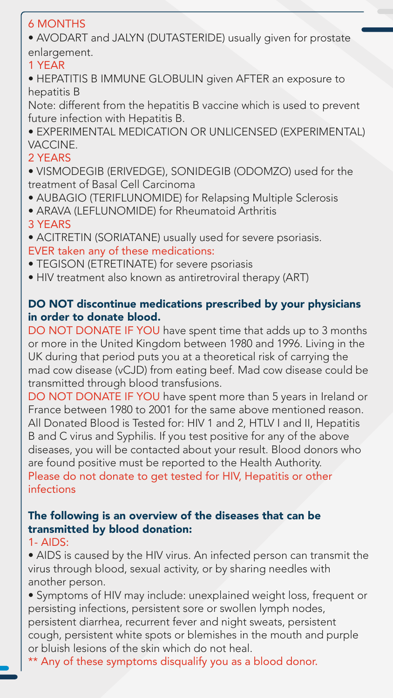# 6 MONTHS

• AVODART and JALYN (DUTASTERIDE) usually given for prostate enlargement.

#### 1 YEAR

• HEPATITIS B IMMUNE GLOBULIN given AFTER an exposure to hepatitis B

Note: different from the hepatitis B vaccine which is used to prevent future infection with Hepatitis B.

• EXPERIMENTAL MEDICATION OR UNLICENSED (EXPERIMENTAL) VACCINE.

# 2 YEARS

- VISMODEGIB (ERIVEDGE), SONIDEGIB (ODOMZO) used for the treatment of Basal Cell Carcinoma
- AUBAGIO (TERIFLUNOMIDE) for Relapsing Multiple Sclerosis
- ARAVA (LEFLUNOMIDE) for Rheumatoid Arthritis

# 3 YEARS

- ACITRETIN (SORIATANE) usually used for severe psoriasis. EVER taken any of these medications:
- TEGISON (ETRETINATE) for severe psoriasis
- HIV treatment also known as antiretroviral therapy (ART)

# DO NOT discontinue medications prescribed by your physicians in order to donate blood.

DO NOT DONATE IF YOU have spent time that adds up to 3 months or more in the United Kingdom between 1980 and 1996. Living in the UK during that period puts you at a theoretical risk of carrying the mad cow disease (vCJD) from eating beef. Mad cow disease could be transmitted through blood transfusions. DO NOT DONATE IF YOU have spent more than 5 years in Ireland or France between 1980 to 2001 for the same above mentioned reason. All Donated Blood is Tested for: HIV 1 and 2, HTLV I and II, Hepatitis B and C virus and Syphilis. If you test positive for any of the above diseases, you will be contacted about your result. Blood donors who are found positive must be reported to the Health Authority. Please do not donate to get tested for HIV, Hepatitis or other infections

### The following is an overview of the diseases that can be transmitted by blood donation:

1- AIDS:

• AIDS is caused by the HIV virus. An infected person can transmit the virus through blood, sexual activity, or by sharing needles with another person.

• Symptoms of HIV may include: unexplained weight loss, frequent or persisting infections, persistent sore or swollen lymph nodes, persistent diarrhea, recurrent fever and night sweats, persistent cough, persistent white spots or blemishes in the mouth and purple or bluish lesions of the skin which do not heal.

# \*\* Any of these symptoms disqualify you as a blood donor.